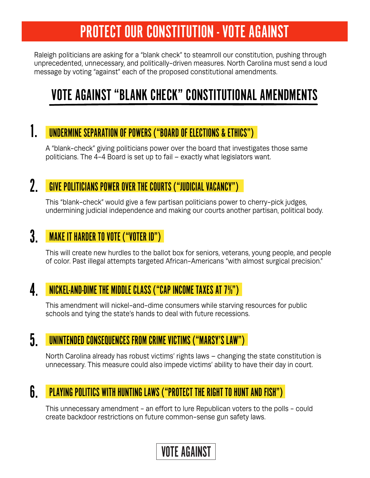# PROTECT OUR CONSTITUTION - VOTE AGAINST

Raleigh politicians are asking for a "blank check" to steamroll our constitution, pushing through unprecedented, unnecessary, and politically-driven measures. North Carolina must send a loud message by voting "against" each of the proposed constitutional amendments.

## VOTE AGAINST "BLANK CHECK" CONSTITUTIONAL AMENDMENTS

#### 1. UNDERMINE SEPARATION OF POWERS ("BOARD OF ELECTIONS & ETHICS")

A "blank-check" giving politicians power over the board that investigates those same politicians. The 4-4 Board is set up to fail – exactly what legislators want.

#### $2.$ GIVE POLITICIANS POWER OVER THE COURTS ("JUDICIAL VACANCY")

This "blank-check" would give a few partisan politicians power to cherry-pick judges, undermining judicial independence and making our courts another partisan, political body.

#### $3.$ MAKE IT HARDER TO VOTE ("VOTER ID")

This will create new hurdles to the ballot box for seniors, veterans, young people, and people of color. Past illegal attempts targeted African-Americans "with almost surgical precision."

#### $\overline{4}$ . NICKEL-AND-DIME THE MIDDLE CLASS ("CAP INCOME TAXES AT 7%")

This amendment will nickel-and-dime consumers while starving resources for public schools and tying the state's hands to deal with future recessions.

#### $5<sub>1</sub>$ UNINTENDED CONSEQUENCES FROM CRIME VICTIMS ("MARSY'S LAW")

North Carolina already has robust victims' rights laws – changing the state constitution is unnecessary. This measure could also impede victims' ability to have their day in court.

#### $6<sub>-</sub>$ PLAYING POLITICS WITH HUNTING LAWS ("PROTECT THE RIGHT TO HUNT AND FISH")

This unnecessary amendment - an effort to lure Republican voters to the polls - could create backdoor restrictions on future common-sense gun safety laws.

### VOTE AGAINST